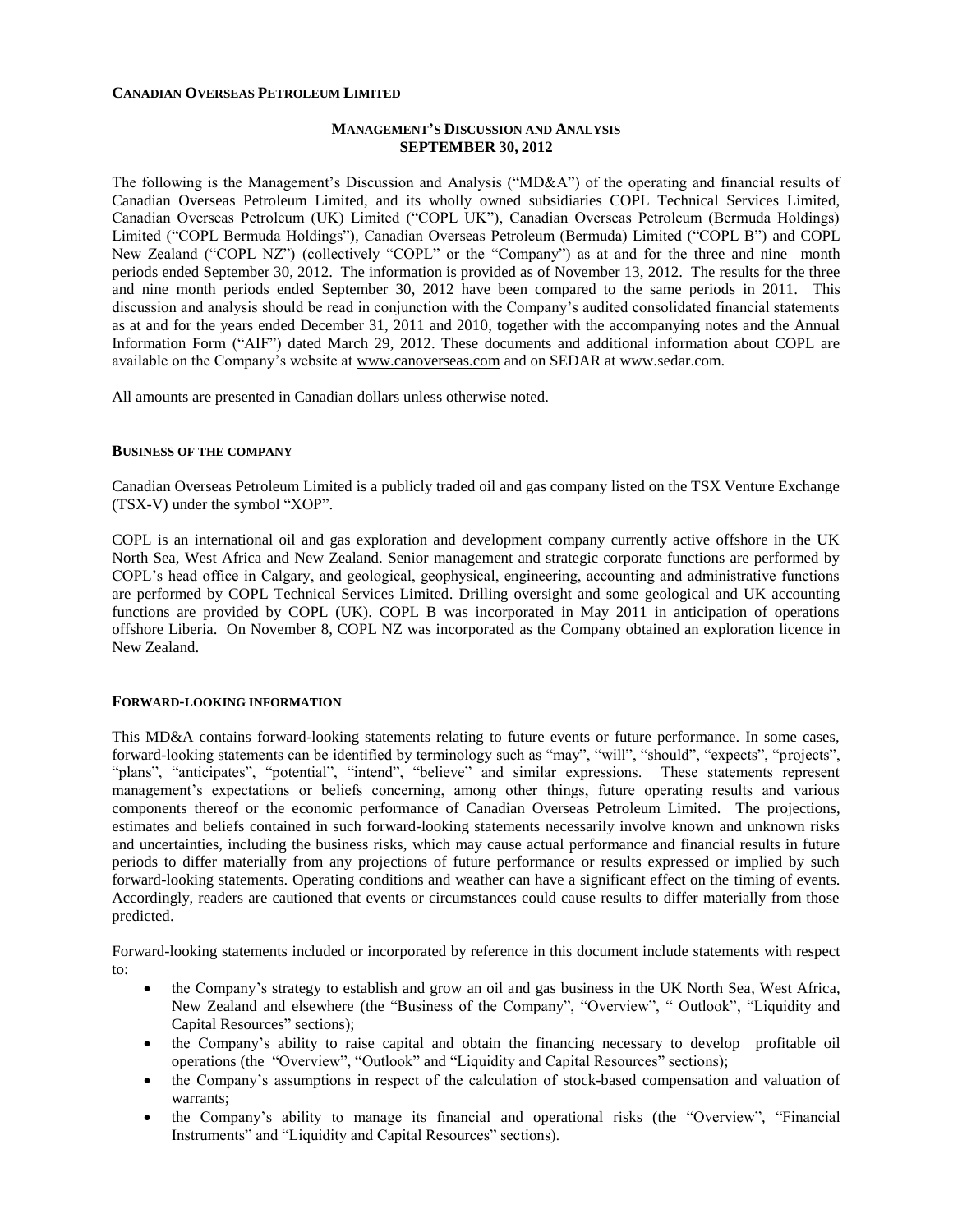### **CANADIAN OVERSEAS PETROLEUM LIMITED**

## **MANAGEMENT'S DISCUSSION AND ANALYSIS SEPTEMBER 30, 2012**

The following is the Management's Discussion and Analysis ("MD&A") of the operating and financial results of Canadian Overseas Petroleum Limited, and its wholly owned subsidiaries COPL Technical Services Limited, Canadian Overseas Petroleum (UK) Limited ("COPL UK"), Canadian Overseas Petroleum (Bermuda Holdings) Limited ("COPL Bermuda Holdings"), Canadian Overseas Petroleum (Bermuda) Limited ("COPL B") and COPL New Zealand ("COPL NZ") (collectively "COPL" or the "Company") as at and for the three and nine month periods ended September 30, 2012. The information is provided as of November 13, 2012. The results for the three and nine month periods ended September 30, 2012 have been compared to the same periods in 2011. This discussion and analysis should be read in conjunction with the Company's audited consolidated financial statements as at and for the years ended December 31, 2011 and 2010, together with the accompanying notes and the Annual Information Form ("AIF") dated March 29, 2012. These documents and additional information about COPL are available on the Company's website at [www.canoverseas.com](http://www.canoverseas.com/) and on SEDAR at [www.sedar.com.](http://www.sedar.com/)

All amounts are presented in Canadian dollars unless otherwise noted.

#### **BUSINESS OF THE COMPANY**

Canadian Overseas Petroleum Limited is a publicly traded oil and gas company listed on the TSX Venture Exchange (TSX-V) under the symbol "XOP".

COPL is an international oil and gas exploration and development company currently active offshore in the UK North Sea, West Africa and New Zealand. Senior management and strategic corporate functions are performed by COPL's head office in Calgary, and geological, geophysical, engineering, accounting and administrative functions are performed by COPL Technical Services Limited. Drilling oversight and some geological and UK accounting functions are provided by COPL (UK). COPL B was incorporated in May 2011 in anticipation of operations offshore Liberia. On November 8, COPL NZ was incorporated as the Company obtained an exploration licence in New Zealand.

### **FORWARD-LOOKING INFORMATION**

This MD&A contains forward-looking statements relating to future events or future performance. In some cases, forward-looking statements can be identified by terminology such as "may", "will", "should", "expects", "projects", "plans", "anticipates", "potential", "intend", "believe" and similar expressions. These statements represent management's expectations or beliefs concerning, among other things, future operating results and various components thereof or the economic performance of Canadian Overseas Petroleum Limited. The projections, estimates and beliefs contained in such forward-looking statements necessarily involve known and unknown risks and uncertainties, including the business risks, which may cause actual performance and financial results in future periods to differ materially from any projections of future performance or results expressed or implied by such forward-looking statements. Operating conditions and weather can have a significant effect on the timing of events. Accordingly, readers are cautioned that events or circumstances could cause results to differ materially from those predicted.

Forward-looking statements included or incorporated by reference in this document include statements with respect to:

- the Company's strategy to establish and grow an oil and gas business in the UK North Sea, West Africa, New Zealand and elsewhere (the "Business of the Company", "Overview", " Outlook", "Liquidity and Capital Resources" sections);
- the Company's ability to raise capital and obtain the financing necessary to develop profitable oil operations (the "Overview", "Outlook" and "Liquidity and Capital Resources" sections);
- the Company's assumptions in respect of the calculation of stock-based compensation and valuation of warrants;
- the Company's ability to manage its financial and operational risks (the "Overview", "Financial Instruments" and "Liquidity and Capital Resources" sections).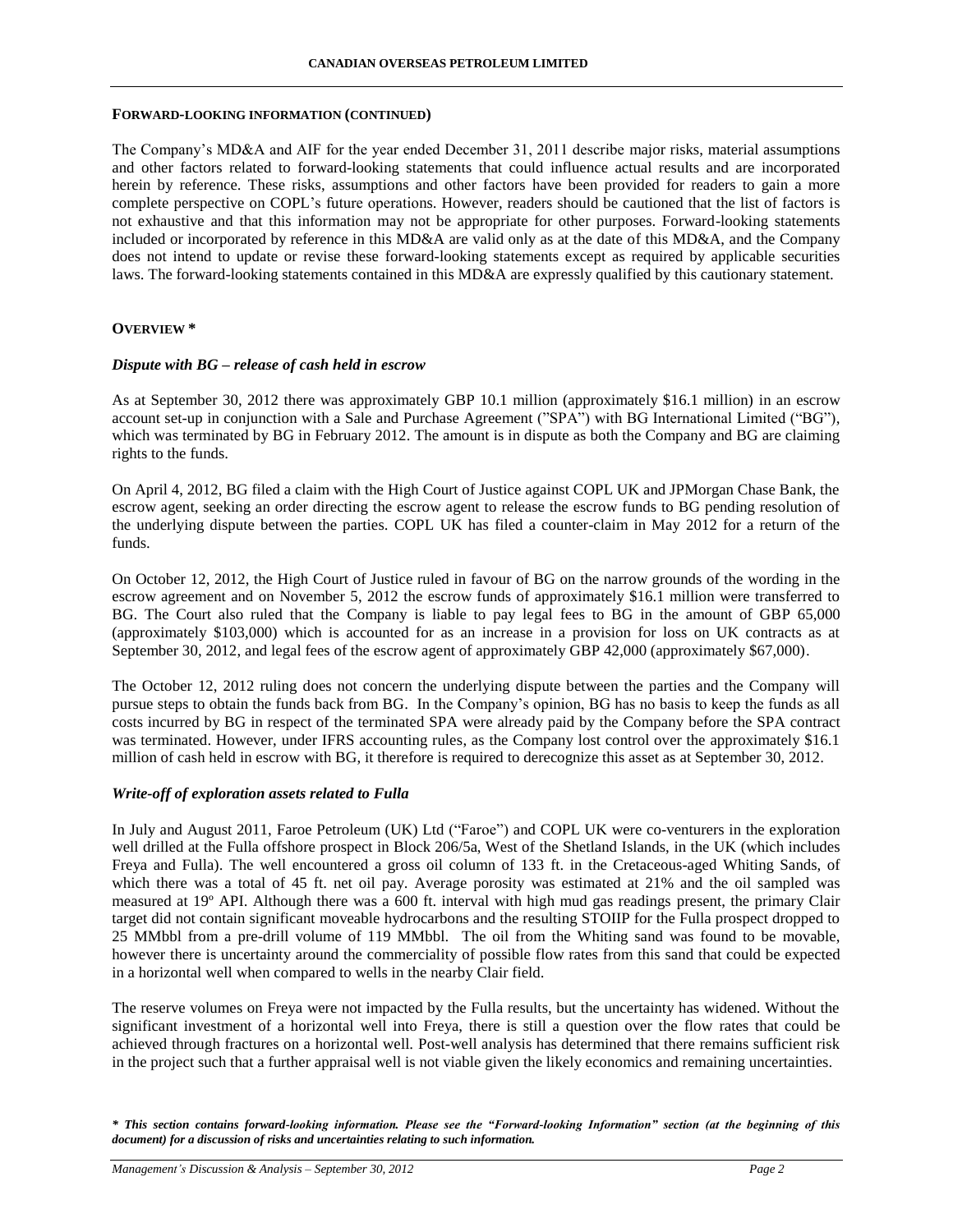### **FORWARD-LOOKING INFORMATION (CONTINUED)**

The Company's MD&A and AIF for the year ended December 31, 2011 describe major risks, material assumptions and other factors related to forward-looking statements that could influence actual results and are incorporated herein by reference. These risks, assumptions and other factors have been provided for readers to gain a more complete perspective on COPL's future operations. However, readers should be cautioned that the list of factors is not exhaustive and that this information may not be appropriate for other purposes. Forward-looking statements included or incorporated by reference in this MD&A are valid only as at the date of this MD&A, and the Company does not intend to update or revise these forward-looking statements except as required by applicable securities laws. The forward-looking statements contained in this MD&A are expressly qualified by this cautionary statement.

## **OVERVIEW \***

### *Dispute with BG – release of cash held in escrow*

As at September 30, 2012 there was approximately GBP 10.1 million (approximately \$16.1 million) in an escrow account set-up in conjunction with a Sale and Purchase Agreement ("SPA") with BG International Limited ("BG"), which was terminated by BG in February 2012. The amount is in dispute as both the Company and BG are claiming rights to the funds.

On April 4, 2012, BG filed a claim with the High Court of Justice against COPL UK and JPMorgan Chase Bank, the escrow agent, seeking an order directing the escrow agent to release the escrow funds to BG pending resolution of the underlying dispute between the parties. COPL UK has filed a counter-claim in May 2012 for a return of the funds.

On October 12, 2012, the High Court of Justice ruled in favour of BG on the narrow grounds of the wording in the escrow agreement and on November 5, 2012 the escrow funds of approximately \$16.1 million were transferred to BG. The Court also ruled that the Company is liable to pay legal fees to BG in the amount of GBP 65,000 (approximately \$103,000) which is accounted for as an increase in a provision for loss on UK contracts as at September 30, 2012, and legal fees of the escrow agent of approximately GBP 42,000 (approximately \$67,000).

The October 12, 2012 ruling does not concern the underlying dispute between the parties and the Company will pursue steps to obtain the funds back from BG. In the Company's opinion, BG has no basis to keep the funds as all costs incurred by BG in respect of the terminated SPA were already paid by the Company before the SPA contract was terminated. However, under IFRS accounting rules, as the Company lost control over the approximately \$16.1 million of cash held in escrow with BG, it therefore is required to derecognize this asset as at September 30, 2012.

## *Write-off of exploration assets related to Fulla*

In July and August 2011, Faroe Petroleum (UK) Ltd ("Faroe") and COPL UK were co-venturers in the exploration well drilled at the Fulla offshore prospect in Block 206/5a, West of the Shetland Islands, in the UK (which includes Freya and Fulla). The well encountered a gross oil column of 133 ft. in the Cretaceous-aged Whiting Sands, of which there was a total of 45 ft. net oil pay. Average porosity was estimated at 21% and the oil sampled was measured at 19º API. Although there was a 600 ft. interval with high mud gas readings present, the primary Clair target did not contain significant moveable hydrocarbons and the resulting STOIIP for the Fulla prospect dropped to 25 MMbbl from a pre-drill volume of 119 MMbbl. The oil from the Whiting sand was found to be movable, however there is uncertainty around the commerciality of possible flow rates from this sand that could be expected in a horizontal well when compared to wells in the nearby Clair field.

The reserve volumes on Freya were not impacted by the Fulla results, but the uncertainty has widened. Without the significant investment of a horizontal well into Freya, there is still a question over the flow rates that could be achieved through fractures on a horizontal well. Post-well analysis has determined that there remains sufficient risk in the project such that a further appraisal well is not viable given the likely economics and remaining uncertainties.

*\* This section contains forward-looking information. Please see the "Forward-looking Information" section (at the beginning of this document) for a discussion of risks and uncertainties relating to such information.*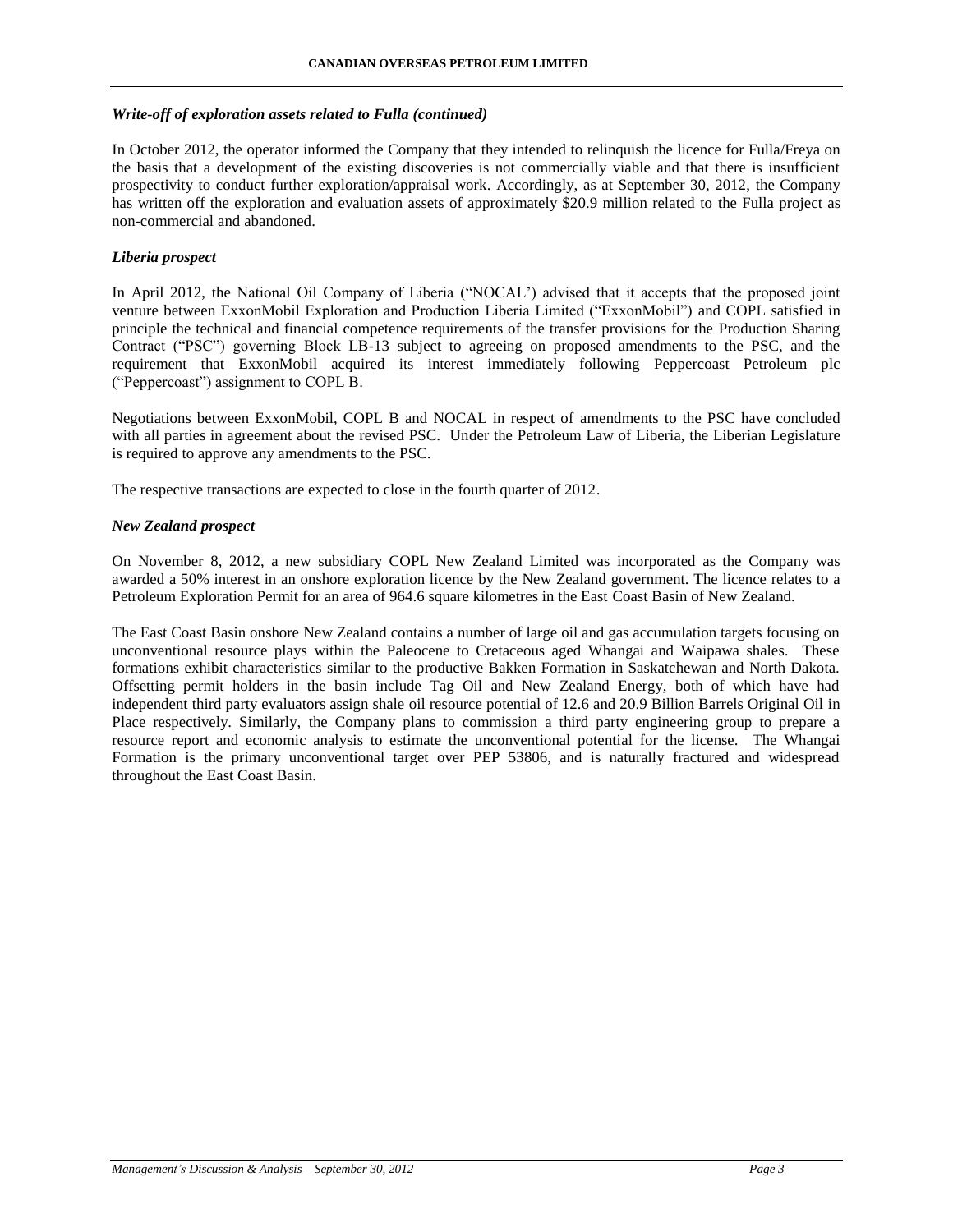## *Write-off of exploration assets related to Fulla (continued)*

In October 2012, the operator informed the Company that they intended to relinquish the licence for Fulla/Freya on the basis that a development of the existing discoveries is not commercially viable and that there is insufficient prospectivity to conduct further exploration/appraisal work. Accordingly, as at September 30, 2012, the Company has written off the exploration and evaluation assets of approximately \$20.9 million related to the Fulla project as non-commercial and abandoned.

## *Liberia prospect*

In April 2012, the National Oil Company of Liberia ("NOCAL') advised that it accepts that the proposed joint venture between ExxonMobil Exploration and Production Liberia Limited ("ExxonMobil") and COPL satisfied in principle the technical and financial competence requirements of the transfer provisions for the Production Sharing Contract ("PSC") governing Block LB-13 subject to agreeing on proposed amendments to the PSC, and the requirement that ExxonMobil acquired its interest immediately following Peppercoast Petroleum plc ("Peppercoast") assignment to COPL B.

Negotiations between ExxonMobil, COPL B and NOCAL in respect of amendments to the PSC have concluded with all parties in agreement about the revised PSC. Under the Petroleum Law of Liberia, the Liberian Legislature is required to approve any amendments to the PSC.

The respective transactions are expected to close in the fourth quarter of 2012.

## *New Zealand prospect*

On November 8, 2012, a new subsidiary COPL New Zealand Limited was incorporated as the Company was awarded a 50% interest in an onshore exploration licence by the New Zealand government. The licence relates to a Petroleum Exploration Permit for an area of 964.6 square kilometres in the East Coast Basin of New Zealand.

The East Coast Basin onshore New Zealand contains a number of large oil and gas accumulation targets focusing on unconventional resource plays within the Paleocene to Cretaceous aged Whangai and Waipawa shales. These formations exhibit characteristics similar to the productive Bakken Formation in Saskatchewan and North Dakota. Offsetting permit holders in the basin include Tag Oil and New Zealand Energy, both of which have had independent third party evaluators assign shale oil resource potential of 12.6 and 20.9 Billion Barrels Original Oil in Place respectively. Similarly, the Company plans to commission a third party engineering group to prepare a resource report and economic analysis to estimate the unconventional potential for the license. The Whangai Formation is the primary unconventional target over PEP 53806, and is naturally fractured and widespread throughout the East Coast Basin.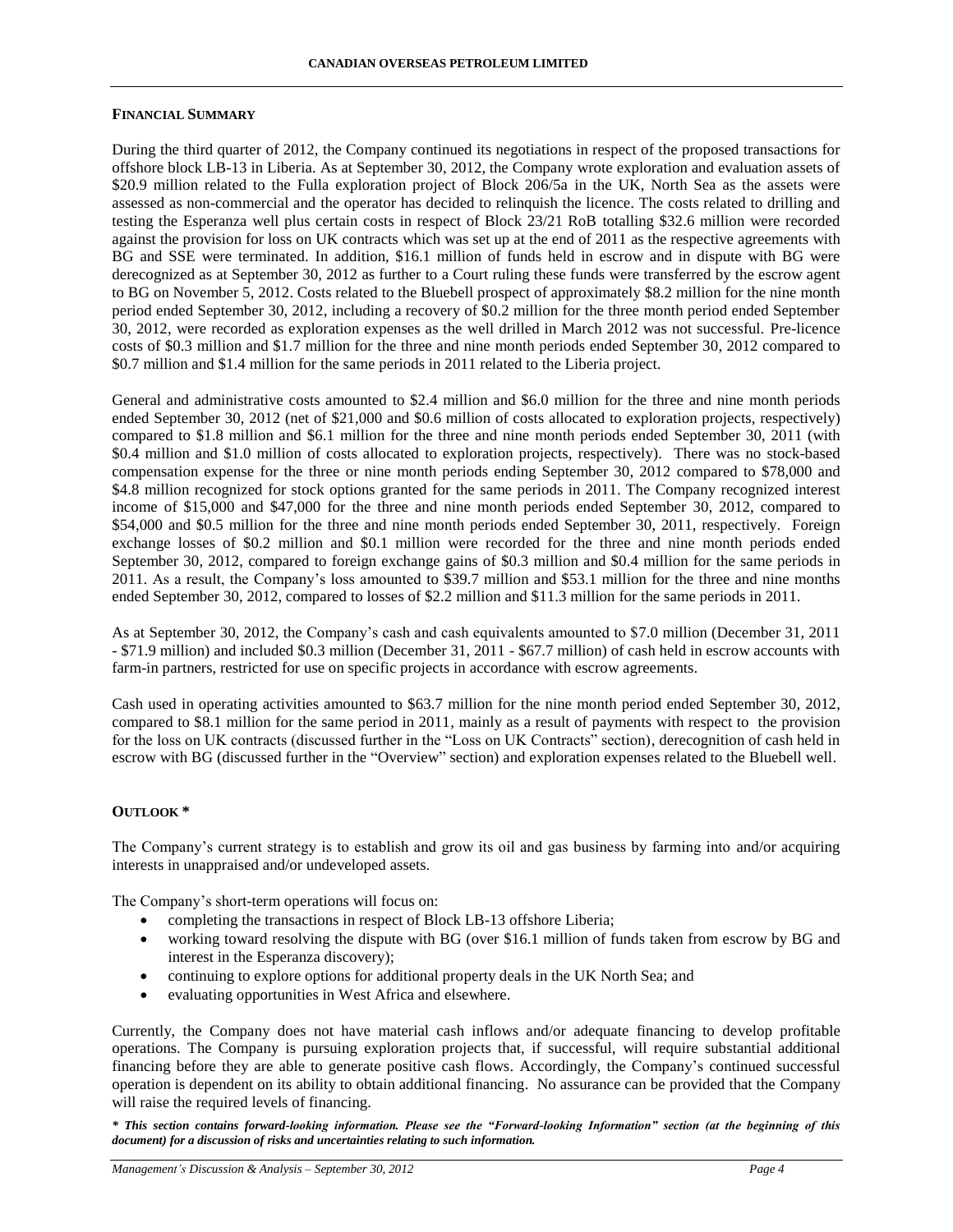### **FINANCIAL SUMMARY**

During the third quarter of 2012, the Company continued its negotiations in respect of the proposed transactions for offshore block LB-13 in Liberia. As at September 30, 2012, the Company wrote exploration and evaluation assets of \$20.9 million related to the Fulla exploration project of Block 206/5a in the UK, North Sea as the assets were assessed as non-commercial and the operator has decided to relinquish the licence. The costs related to drilling and testing the Esperanza well plus certain costs in respect of Block 23/21 RoB totalling \$32.6 million were recorded against the provision for loss on UK contracts which was set up at the end of 2011 as the respective agreements with BG and SSE were terminated. In addition, \$16.1 million of funds held in escrow and in dispute with BG were derecognized as at September 30, 2012 as further to a Court ruling these funds were transferred by the escrow agent to BG on November 5, 2012. Costs related to the Bluebell prospect of approximately \$8.2 million for the nine month period ended September 30, 2012, including a recovery of \$0.2 million for the three month period ended September 30, 2012, were recorded as exploration expenses as the well drilled in March 2012 was not successful. Pre-licence costs of \$0.3 million and \$1.7 million for the three and nine month periods ended September 30, 2012 compared to \$0.7 million and \$1.4 million for the same periods in 2011 related to the Liberia project.

General and administrative costs amounted to \$2.4 million and \$6.0 million for the three and nine month periods ended September 30, 2012 (net of \$21,000 and \$0.6 million of costs allocated to exploration projects, respectively) compared to \$1.8 million and \$6.1 million for the three and nine month periods ended September 30, 2011 (with \$0.4 million and \$1.0 million of costs allocated to exploration projects, respectively). There was no stock-based compensation expense for the three or nine month periods ending September 30, 2012 compared to \$78,000 and \$4.8 million recognized for stock options granted for the same periods in 2011. The Company recognized interest income of \$15,000 and \$47,000 for the three and nine month periods ended September 30, 2012, compared to \$54,000 and \$0.5 million for the three and nine month periods ended September 30, 2011, respectively. Foreign exchange losses of \$0.2 million and \$0.1 million were recorded for the three and nine month periods ended September 30, 2012, compared to foreign exchange gains of \$0.3 million and \$0.4 million for the same periods in 2011. As a result, the Company's loss amounted to \$39.7 million and \$53.1 million for the three and nine months ended September 30, 2012, compared to losses of \$2.2 million and \$11.3 million for the same periods in 2011.

As at September 30, 2012, the Company's cash and cash equivalents amounted to \$7.0 million (December 31, 2011 - \$71.9 million) and included \$0.3 million (December 31, 2011 - \$67.7 million) of cash held in escrow accounts with farm-in partners, restricted for use on specific projects in accordance with escrow agreements.

Cash used in operating activities amounted to \$63.7 million for the nine month period ended September 30, 2012, compared to \$8.1 million for the same period in 2011, mainly as a result of payments with respect to the provision for the loss on UK contracts (discussed further in the "Loss on UK Contracts" section), derecognition of cash held in escrow with BG (discussed further in the "Overview" section) and exploration expenses related to the Bluebell well.

### **OUTLOOK \***

The Company's current strategy is to establish and grow its oil and gas business by farming into and/or acquiring interests in unappraised and/or undeveloped assets.

The Company's short-term operations will focus on:

- completing the transactions in respect of Block LB-13 offshore Liberia;
- working toward resolving the dispute with BG (over \$16.1 million of funds taken from escrow by BG and interest in the Esperanza discovery);
- continuing to explore options for additional property deals in the UK North Sea; and
- evaluating opportunities in West Africa and elsewhere.

Currently, the Company does not have material cash inflows and/or adequate financing to develop profitable operations. The Company is pursuing exploration projects that, if successful, will require substantial additional financing before they are able to generate positive cash flows. Accordingly, the Company's continued successful operation is dependent on its ability to obtain additional financing. No assurance can be provided that the Company will raise the required levels of financing.

*\* This section contains forward-looking information. Please see the "Forward-looking Information" section (at the beginning of this document) for a discussion of risks and uncertainties relating to such information.*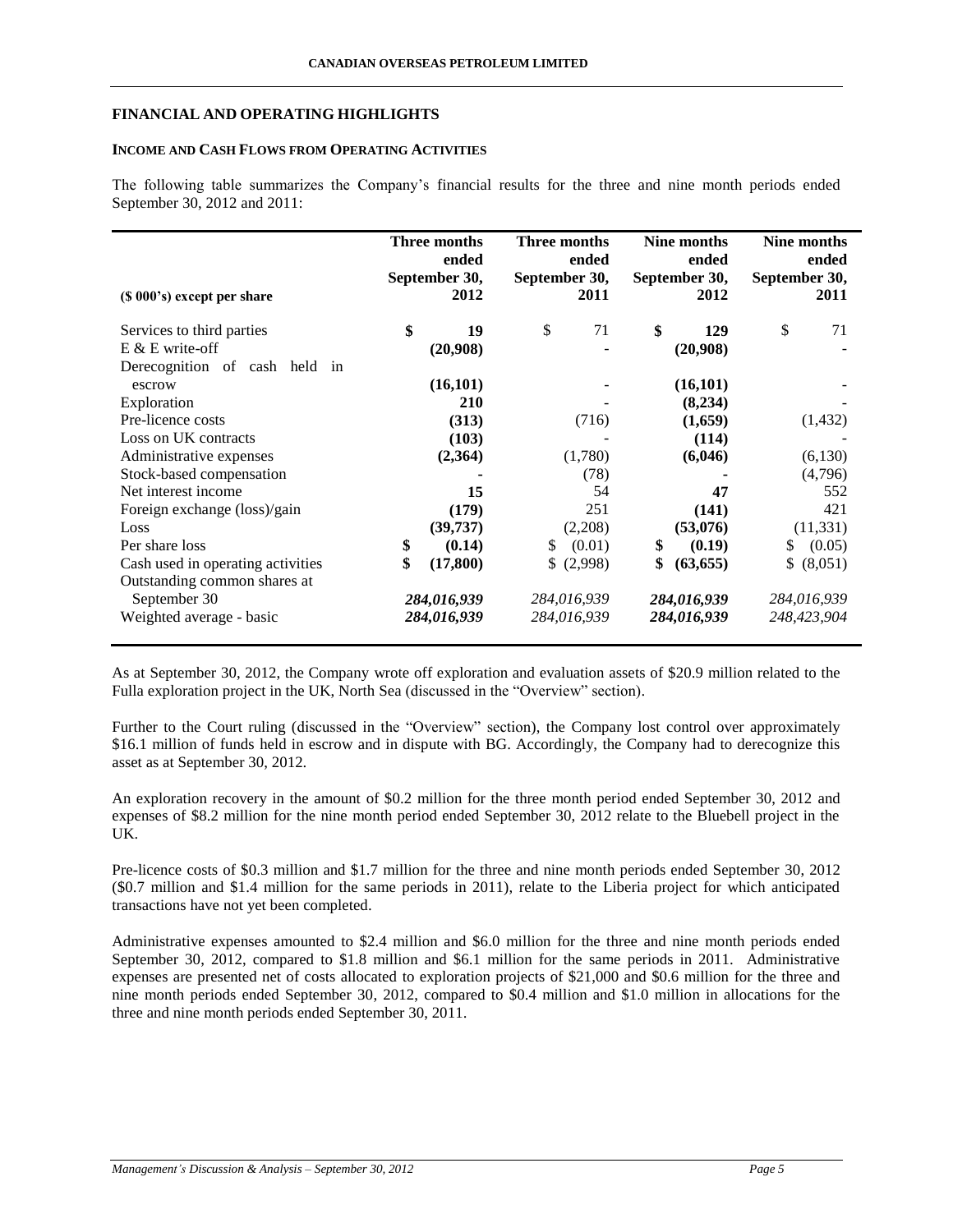## **FINANCIAL AND OPERATING HIGHLIGHTS**

## **INCOME AND CASH FLOWS FROM OPERATING ACTIVITIES**

The following table summarizes the Company's financial results for the three and nine month periods ended September 30, 2012 and 2011:

| (\$ 000's) except per share       | Three months<br>ended<br>September 30,<br>2012 | Three months<br>September 30, | ended<br>2011 | Nine months<br>ended<br>September 30,<br>2012 | September 30, | Nine months<br>ended<br>2011 |
|-----------------------------------|------------------------------------------------|-------------------------------|---------------|-----------------------------------------------|---------------|------------------------------|
| Services to third parties         | \$<br>19                                       | \$                            | 71            | \$<br>129                                     | \$            | 71                           |
| $E \& E$ write-off                | (20,908)                                       |                               |               | (20,908)                                      |               |                              |
| Derecognition of cash held in     |                                                |                               |               |                                               |               |                              |
| escrow                            | (16, 101)                                      |                               |               | (16, 101)                                     |               |                              |
| Exploration                       | 210                                            |                               |               | (8,234)                                       |               |                              |
| Pre-licence costs                 | (313)                                          |                               | (716)         | (1,659)                                       |               | (1,432)                      |
| Loss on UK contracts              | (103)                                          |                               |               | (114)                                         |               |                              |
| Administrative expenses           | (2,364)                                        |                               | (1,780)       | (6,046)                                       |               | (6,130)                      |
| Stock-based compensation          |                                                |                               | (78)          |                                               |               | (4,796)                      |
| Net interest income               | 15                                             |                               | 54            | 47                                            |               | 552                          |
| Foreign exchange (loss)/gain      | (179)                                          |                               | 251           | (141)                                         |               | 421                          |
| Loss                              | (39, 737)                                      |                               | (2,208)       | (53,076)                                      |               | (11, 331)                    |
| Per share loss                    | \$<br>(0.14)                                   | \$                            | (0.01)        | \$<br>(0.19)                                  | \$            | (0.05)                       |
| Cash used in operating activities | \$<br>(17, 800)                                |                               | \$ (2,998)    | \$<br>(63, 655)                               |               | \$ (8,051)                   |
| Outstanding common shares at      |                                                |                               |               |                                               |               |                              |
| September 30                      | 284,016,939                                    |                               | 284,016,939   | 284,016,939                                   |               | 284,016,939                  |
| Weighted average - basic          | 284,016,939                                    |                               | 284,016,939   | 284,016,939                                   |               | 248,423,904                  |

As at September 30, 2012, the Company wrote off exploration and evaluation assets of \$20.9 million related to the Fulla exploration project in the UK, North Sea (discussed in the "Overview" section).

Further to the Court ruling (discussed in the "Overview" section), the Company lost control over approximately \$16.1 million of funds held in escrow and in dispute with BG. Accordingly, the Company had to derecognize this asset as at September 30, 2012.

An exploration recovery in the amount of \$0.2 million for the three month period ended September 30, 2012 and expenses of \$8.2 million for the nine month period ended September 30, 2012 relate to the Bluebell project in the UK.

Pre-licence costs of \$0.3 million and \$1.7 million for the three and nine month periods ended September 30, 2012 (\$0.7 million and \$1.4 million for the same periods in 2011), relate to the Liberia project for which anticipated transactions have not yet been completed.

Administrative expenses amounted to \$2.4 million and \$6.0 million for the three and nine month periods ended September 30, 2012, compared to \$1.8 million and \$6.1 million for the same periods in 2011. Administrative expenses are presented net of costs allocated to exploration projects of \$21,000 and \$0.6 million for the three and nine month periods ended September 30, 2012, compared to \$0.4 million and \$1.0 million in allocations for the three and nine month periods ended September 30, 2011.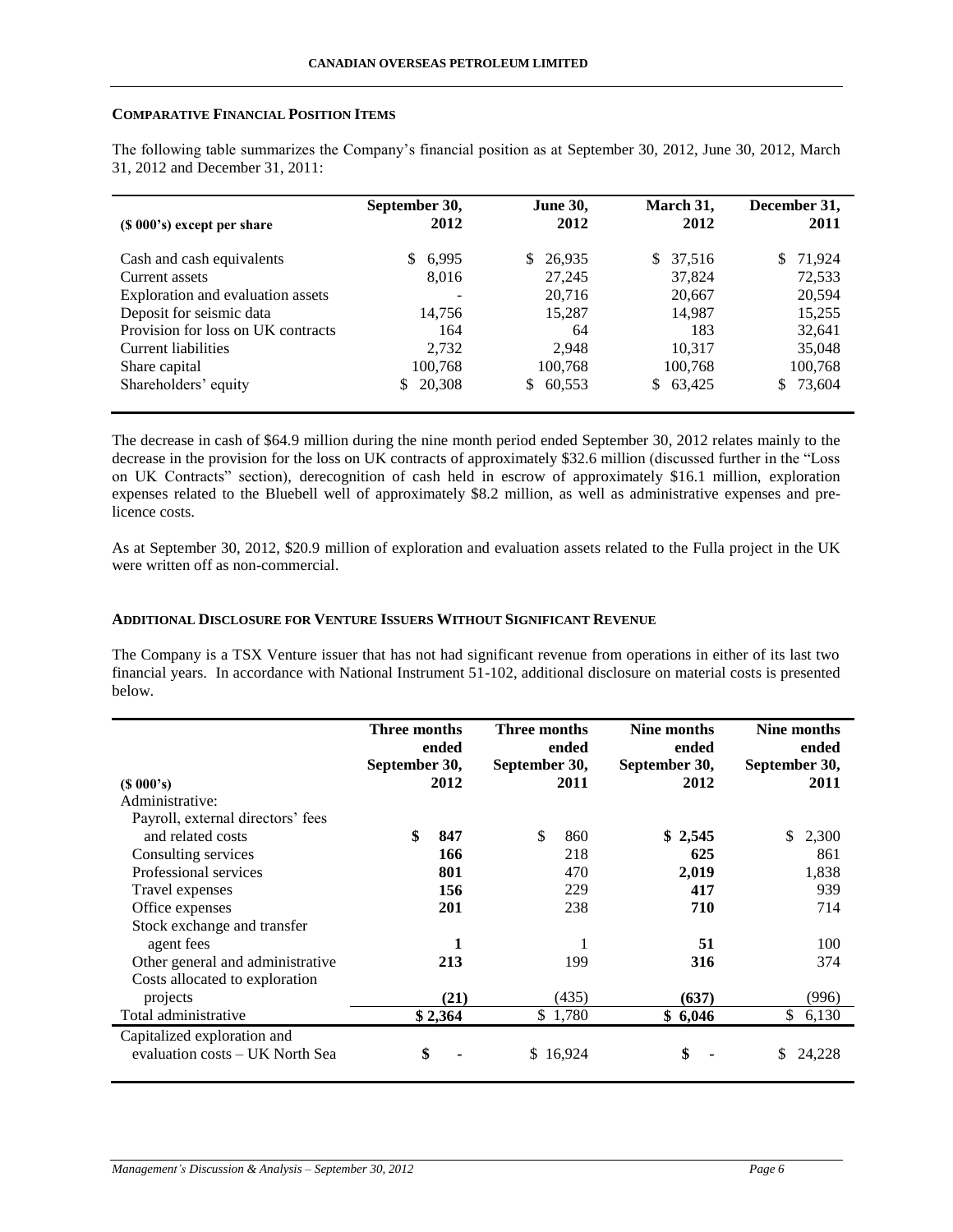### **COMPARATIVE FINANCIAL POSITION ITEMS**

The following table summarizes the Company's financial position as at September 30, 2012, June 30, 2012, March 31, 2012 and December 31, 2011:

| (\$ 000's) except per share        | September 30,<br>2012 | <b>June 30,</b><br>2012 | March 31,<br>2012 | December 31,<br>2011 |
|------------------------------------|-----------------------|-------------------------|-------------------|----------------------|
| Cash and cash equivalents          | 6,995<br>S.           | 26,935<br><sup>S</sup>  | \$<br>37,516      | 71,924               |
| Current assets                     | 8,016                 | 27,245                  | 37,824            | 72,533               |
| Exploration and evaluation assets  |                       | 20,716                  | 20,667            | 20,594               |
| Deposit for seismic data           | 14.756                | 15,287                  | 14,987            | 15,255               |
| Provision for loss on UK contracts | 164                   | 64                      | 183               | 32,641               |
| Current liabilities                | 2,732                 | 2.948                   | 10.317            | 35,048               |
| Share capital                      | 100.768               | 100,768                 | 100,768           | 100,768              |
| Shareholders' equity               | 20.308<br>\$.         | 60,553<br>S.            | 63,425<br>S.      | \$73,604             |

The decrease in cash of \$64.9 million during the nine month period ended September 30, 2012 relates mainly to the decrease in the provision for the loss on UK contracts of approximately \$32.6 million (discussed further in the "Loss on UK Contracts" section), derecognition of cash held in escrow of approximately \$16.1 million, exploration expenses related to the Bluebell well of approximately \$8.2 million, as well as administrative expenses and prelicence costs.

As at September 30, 2012, \$20.9 million of exploration and evaluation assets related to the Fulla project in the UK were written off as non-commercial.

## **ADDITIONAL DISCLOSURE FOR VENTURE ISSUERS WITHOUT SIGNIFICANT REVENUE**

The Company is a TSX Venture issuer that has not had significant revenue from operations in either of its last two financial years. In accordance with National Instrument 51-102, additional disclosure on material costs is presented below.

|                                                                | Three months<br>September 30, | ended   | Three months<br>September 30, | ended    | Nine months<br>ended<br>September 30, | Nine months<br>ended<br>September 30, |
|----------------------------------------------------------------|-------------------------------|---------|-------------------------------|----------|---------------------------------------|---------------------------------------|
| $(S\ 000's)$                                                   |                               | 2012    |                               | 2011     | 2012                                  | 2011                                  |
| Administrative:                                                |                               |         |                               |          |                                       |                                       |
| Payroll, external directors' fees                              |                               |         |                               |          |                                       |                                       |
| and related costs                                              | \$                            | 847     | \$                            | 860      | \$2,545                               | 2,300<br>\$.                          |
| Consulting services                                            |                               | 166     |                               | 218      | 625                                   | 861                                   |
| Professional services                                          |                               | 801     |                               | 470      | 2,019                                 | 1,838                                 |
| Travel expenses                                                |                               | 156     |                               | 229      | 417                                   | 939                                   |
| Office expenses                                                |                               | 201     |                               | 238      | 710                                   | 714                                   |
| Stock exchange and transfer                                    |                               |         |                               |          |                                       |                                       |
| agent fees                                                     |                               | 1       |                               |          | 51                                    | 100                                   |
| Other general and administrative                               |                               | 213     |                               | 199      | 316                                   | 374                                   |
| Costs allocated to exploration                                 |                               |         |                               |          |                                       |                                       |
| projects                                                       |                               | (21)    |                               | (435)    | (637)                                 | (996)                                 |
| Total administrative                                           |                               | \$2,364 |                               | \$1,780  | \$6,046                               | \$<br>6,130                           |
| Capitalized exploration and<br>evaluation costs – UK North Sea | \$                            |         |                               | \$16,924 | \$                                    | S<br>24,228                           |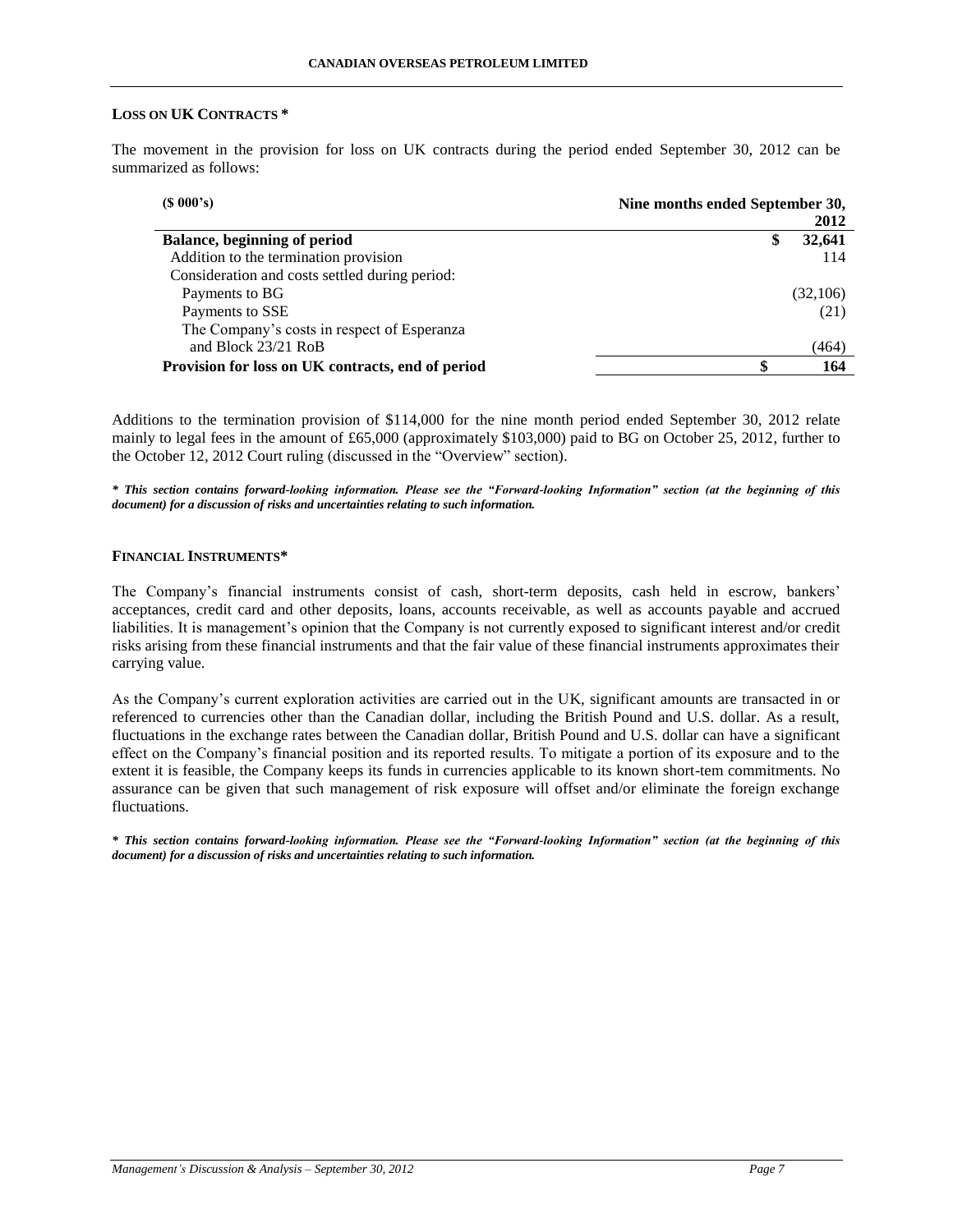### **LOSS ON UK CONTRACTS \***

The movement in the provision for loss on UK contracts during the period ended September 30, 2012 can be summarized as follows:

| $(S\ 000's)$                                      | Nine months ended September 30, |  |  |
|---------------------------------------------------|---------------------------------|--|--|
|                                                   | 2012                            |  |  |
| Balance, beginning of period                      | 32,641<br>\$                    |  |  |
| Addition to the termination provision             | 114                             |  |  |
| Consideration and costs settled during period:    |                                 |  |  |
| Payments to BG                                    | (32,106)                        |  |  |
| Payments to SSE                                   | (21)                            |  |  |
| The Company's costs in respect of Esperanza       |                                 |  |  |
| and Block 23/21 RoB                               | (464)                           |  |  |
| Provision for loss on UK contracts, end of period | 164                             |  |  |

Additions to the termination provision of \$114,000 for the nine month period ended September 30, 2012 relate mainly to legal fees in the amount of £65,000 (approximately \$103,000) paid to BG on October 25, 2012, further to the October 12, 2012 Court ruling (discussed in the "Overview" section).

*\* This section contains forward-looking information. Please see the "Forward-looking Information" section (at the beginning of this document) for a discussion of risks and uncertainties relating to such information.*

## **FINANCIAL INSTRUMENTS\***

The Company's financial instruments consist of cash, short-term deposits, cash held in escrow, bankers' acceptances, credit card and other deposits, loans, accounts receivable, as well as accounts payable and accrued liabilities. It is management's opinion that the Company is not currently exposed to significant interest and/or credit risks arising from these financial instruments and that the fair value of these financial instruments approximates their carrying value.

As the Company's current exploration activities are carried out in the UK, significant amounts are transacted in or referenced to currencies other than the Canadian dollar, including the British Pound and U.S. dollar. As a result, fluctuations in the exchange rates between the Canadian dollar, British Pound and U.S. dollar can have a significant effect on the Company's financial position and its reported results. To mitigate a portion of its exposure and to the extent it is feasible, the Company keeps its funds in currencies applicable to its known short-tem commitments. No assurance can be given that such management of risk exposure will offset and/or eliminate the foreign exchange fluctuations.

*\* This section contains forward-looking information. Please see the "Forward-looking Information" section (at the beginning of this document) for a discussion of risks and uncertainties relating to such information.*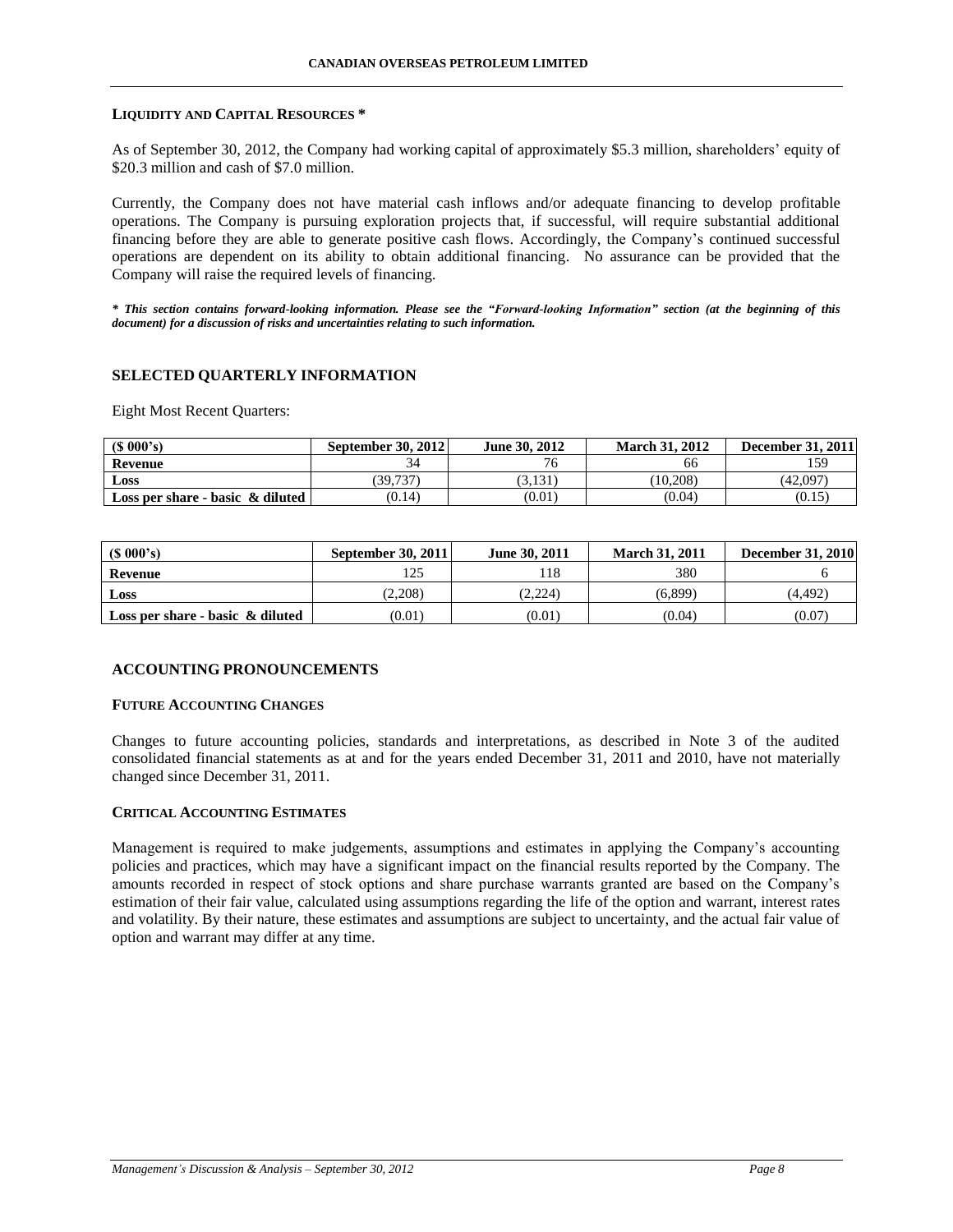### **LIQUIDITY AND CAPITAL RESOURCES \***

As of September 30, 2012, the Company had working capital of approximately \$5.3 million, shareholders' equity of \$20.3 million and cash of \$7.0 million.

Currently, the Company does not have material cash inflows and/or adequate financing to develop profitable operations. The Company is pursuing exploration projects that, if successful, will require substantial additional financing before they are able to generate positive cash flows. Accordingly, the Company's continued successful operations are dependent on its ability to obtain additional financing. No assurance can be provided that the Company will raise the required levels of financing.

*\* This section contains forward-looking information. Please see the "Forward-looking Information" section (at the beginning of this document) for a discussion of risks and uncertainties relating to such information.*

### **SELECTED QUARTERLY INFORMATION**

Eight Most Recent Quarters:

| (S 000's)                                | September 30, 2012 | June 30, 2012 | <b>March 31, 2012</b> | <b>December 31, 2011</b> |
|------------------------------------------|--------------------|---------------|-----------------------|--------------------------|
| Revenue                                  |                    |               | 66                    | 1 5 Q                    |
| <b>Loss</b>                              | (39, 737)          | (3, 131)      | (10, 208)             | (42,097)                 |
| Loss per share - basic $\&$ diluted $\ $ | (0.14)             | (0.01)        | (0.04)                | (0.15)                   |

| (S 000's)                           | <b>September 30, 2011</b> | June 30, 2011 | <b>March 31, 2011</b> | <b>December 31, 2010</b> |
|-------------------------------------|---------------------------|---------------|-----------------------|--------------------------|
| Revenue                             | 125                       | 18            | 380                   |                          |
| Loss                                | (2.208)                   | (2.224)       | (6.899)               | (4.492)                  |
| Loss per share - basic $\&$ diluted | (0.01)                    | (0.01)        | (0.04)                | (0.07)                   |

### **ACCOUNTING PRONOUNCEMENTS**

### **FUTURE ACCOUNTING CHANGES**

Changes to future accounting policies, standards and interpretations, as described in Note 3 of the audited consolidated financial statements as at and for the years ended December 31, 2011 and 2010, have not materially changed since December 31, 2011.

### **CRITICAL ACCOUNTING ESTIMATES**

Management is required to make judgements, assumptions and estimates in applying the Company's accounting policies and practices, which may have a significant impact on the financial results reported by the Company. The amounts recorded in respect of stock options and share purchase warrants granted are based on the Company's estimation of their fair value, calculated using assumptions regarding the life of the option and warrant, interest rates and volatility. By their nature, these estimates and assumptions are subject to uncertainty, and the actual fair value of option and warrant may differ at any time.